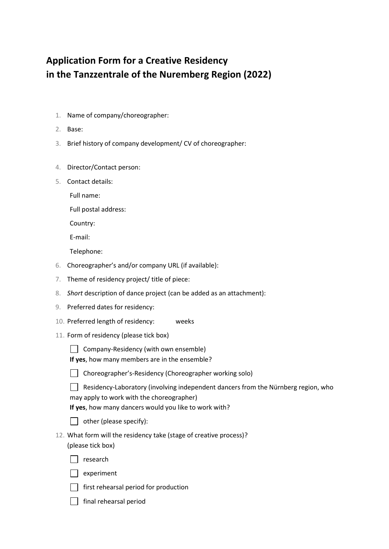## **Application Form for a Creative Residency in the Tanzzentrale of the Nuremberg Region (2022)**

- 1. Name of company/choreographer:
- 2. Base:
- 3. Brief history of company development/ CV of choreographer:
- 4. Director/Contact person:
- 5. Contact details:

Full name:

Full postal address:

Country:

E-mail:

Telephone:

- 6. Choreographer's and/or company URL (if available):
- 7. Theme of residency project/ title of piece:
- 8. *Short* description of dance project (can be added as an attachment):
- 9. Preferred dates for residency:
- 10. Preferred length of residency: weeks
- 11. Form of residency (please tick box)
	- $\Box$  Company-Residency (with own ensemble)

**If yes**, how many members are in the ensemble?



Choreographer's-Residency (Choreographer working solo)

 $\Box$  Residency-Laboratory (involving independent dancers from the Nürnberg region, who may apply to work with the choreographer)

**If yes**, how many dancers would you like to work with?



- 12. What form will the residency take (stage of creative process)? (please tick box)
	- $\Box$  research



- $\Box$  first rehearsal period for production
- $\Box$  final rehearsal period